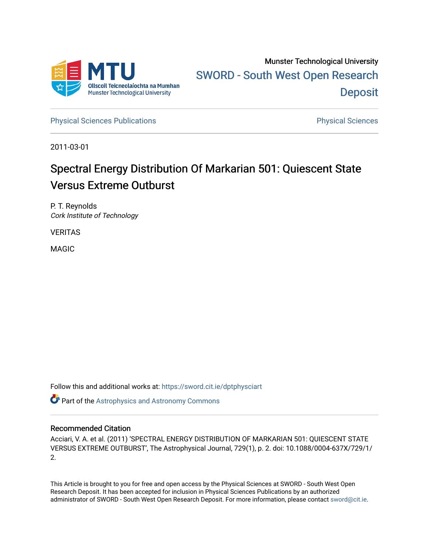

[Physical Sciences Publications](https://sword.cit.ie/dptphysciart) **Physical Sciences** Physical Sciences

2011-03-01

# Spectral Energy Distribution Of Markarian 501: Quiescent State Versus Extreme Outburst

P. T. Reynolds Cork Institute of Technology

VERITAS

MAGIC

Follow this and additional works at: [https://sword.cit.ie/dptphysciart](https://sword.cit.ie/dptphysciart?utm_source=sword.cit.ie%2Fdptphysciart%2F53&utm_medium=PDF&utm_campaign=PDFCoverPages)

Part of the [Astrophysics and Astronomy Commons](http://network.bepress.com/hgg/discipline/123?utm_source=sword.cit.ie%2Fdptphysciart%2F53&utm_medium=PDF&utm_campaign=PDFCoverPages) 

# Recommended Citation

Acciari, V. A. et al. (2011) 'SPECTRAL ENERGY DISTRIBUTION OF MARKARIAN 501: QUIESCENT STATE VERSUS EXTREME OUTBURST', The Astrophysical Journal, 729(1), p. 2. doi: 10.1088/0004-637X/729/1/ 2.

This Article is brought to you for free and open access by the Physical Sciences at SWORD - South West Open Research Deposit. It has been accepted for inclusion in Physical Sciences Publications by an authorized administrator of SWORD - South West Open Research Deposit. For more information, please contact [sword@cit.ie.](mailto:sword@cit.ie)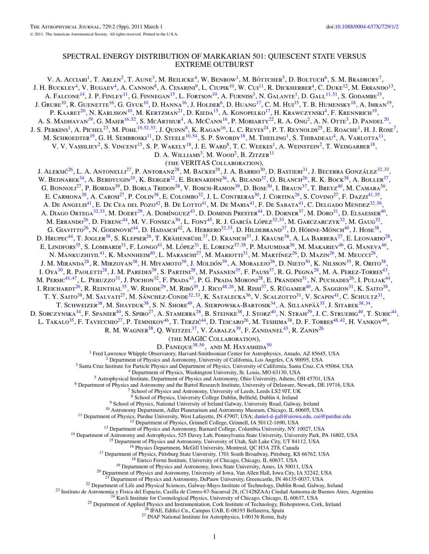# SPECTRAL ENERGY DISTRIBUTION OF MARKARIAN 501: QUIESCENT STATE VERSUS EXTREME OUTBURST

V. A. Acciari<sup>1</sup>, T. Arlen<sup>2</sup>, T. Aune<sup>3</sup>, M. Beilicke<sup>4</sup>, W. Benbow<sup>1</sup>, M. Böttcher<sup>5</sup>, D. Boltuch<sup>6</sup>, S. M. Bradbury<sup>7</sup>, J. H. BUCKLEY<sup>4</sup>, V. BUGAEV<sup>4</sup>, A. CANNON<sup>8</sup>, A. CESARINI<sup>9</sup>, L. CIUPIK<sup>10</sup>, W. CUI<sup>11</sup>, R. DICKHERBER<sup>4</sup>, C. DUKE<sup>12</sup>, M. ERRANDO<sup>13</sup>, A. FALCONE<sup>14</sup>, J. P. FINLEY<sup>11</sup>, G. FINNEGAN<sup>15</sup>, L. FORTSON<sup>10</sup>, A. FURNISS<sup>3</sup>, N. GALANTE<sup>1</sup>, D. GALL<sup>11,[51](#page-2-0)</sup>, S. GODAMBE<sup>15</sup>, J. GRUBE<sup>10</sup>, R. GUENETTE<sup>16</sup>, G. GYUK<sup>10</sup>, D. HANNA<sup>16</sup>, J. HOLDER<sup>6</sup>, D. HUANG<sup>17</sup>, C. M. HUI<sup>15</sup>, T. B. HUMENSKY<sup>18</sup>, A. IMRAN<sup>19</sup>, P. KAARET<sup>20</sup>, N. KARLSSON<sup>10</sup>, M. KERTZMAN<sup>21</sup>, D. KIEDA<sup>15</sup>, A. KONOPELKO<sup>17</sup>, H. KRAWCZYNSKI<sup>4</sup>, F. KRENNRICH<sup>19</sup>, A. S. MADHAVAN<sup>19</sup>, G. MAIER<sup>16,[52](#page-2-0)</sup>, S. MCARTHUR<sup>4</sup>, A. McCann<sup>16</sup>, P. MORIARTY<sup>22</sup>, R. A. Ong<sup>2</sup>, A. N. OTTE<sup>3</sup>, D. PANDEL<sup>20</sup>, J. S. PERKINS<sup>1</sup>, A. PICHEL<sup>23</sup>, M. POHL<sup>19,52,[53](#page-2-0)</sup>, J. QUINN<sup>8</sup>, K. RAGAN<sup>16</sup>, L. C. REYES<sup>24</sup>, P. T. REYNOLDS<sup>25</sup>, E. ROACHE<sup>1</sup>, H. J. ROSE<sup>7</sup>, M. SCHROEDTER<sup>19</sup>, G. H. SEMBROSKI<sup>11</sup>, D. STEELE<sup>10,[54](#page-2-0)</sup>, S. P. SWORDY<sup>18</sup>, M. THEILING<sup>1</sup>, S. THIBADEAU<sup>4</sup>, A. VARLOTTA<sup>11</sup>, V. V. VASSILIEV<sup>2</sup>, S. VINCENT<sup>15</sup>, S. P. WAKELY<sup>18</sup>, J. E. WARD<sup>8</sup>, T. C. WEEKES<sup>1</sup>, A. WEINSTEIN<sup>2</sup>, T. WEISGARBER<sup>18</sup>, D. A. WILLIAMS<sup>3</sup>, M. WOOD<sup>2</sup>, B. ZITZER<sup>11</sup> (the VERITAS Collaboration), J. Aleksić<sup>26</sup>, L. A. Antonelli<sup>27</sup>, P. Antoranz<sup>28</sup>, M. Backes<sup>29</sup>, J. A. Barrio<sup>30</sup>, D. Bastieri<sup>31</sup>, J. Becerra González<sup>32,33</sup>, W. BEDNAREK<sup>34</sup>, A. BERDYUGIN<sup>35</sup>, K. BERGER<sup>32</sup>, E. BERNARDINI<sup>36</sup>, A. BILAND<sup>37</sup>, O. BLANCH<sup>26</sup>, R. K. BOCK<sup>38</sup>, A. BOLLER<sup>37</sup>, G. BONNOLI<sup>27</sup>, P. BORDAS<sup>39</sup>, D. BORLA TRIDON<sup>38</sup>, V. BOSCH-RAMON<sup>39</sup>, D. BOSE<sup>30</sup>, I. BRAUN<sup>37</sup>, T. BRETZ<sup>40</sup>, M. CAMARA<sup>30</sup>, E. CARMONA<sup>38</sup>, A. CAROSI<sup>27</sup>, P. COLIN<sup>38</sup>, E. COLOMBO<sup>32</sup>, J. L. CONTRERAS<sup>30</sup>, J. CORTINA<sup>26</sup>, S. COVINO<sup>27</sup>, F. DAZZI<sup>41,[55](#page-2-0)</sup>, A. De Angelis<sup>41</sup>, E. De Cea del Pozo<sup>42</sup>, B. De Lotto<sup>41</sup>, M. De Maria<sup>41</sup>, F. De Sabata<sup>41</sup>, C. Delgado Mendez<sup>32,[56](#page-2-0)</sup>, A. DIAGO ORTEGA<sup>32,33</sup>, M. DOERT<sup>29</sup>, A. DOMÍNGUEZ<sup>43</sup>, D. DOMINIS PRESTER<sup>44</sup>, D. DORNER<sup>37</sup>, M. DORO<sup>31</sup>, D. ELSAESSER<sup>40</sup>, M. ERRANDO<sup>26</sup>, D. FERENC<sup>44</sup>, M. V. FONSECA<sup>30</sup>, L. FONT<sup>45</sup>, R. J. GARCÍA LÓPEZ<sup>32,33</sup>, M. GARCZARCZYK<sup>32</sup>, M. GAUG<sup>32</sup>, G. GIAVITTO<sup>26</sup>, N. GODINOVIC<sup>44</sup>, D. HADASCH<sup>42</sup>, A. HERRERO<sup>32,33</sup>, D. HILDEBRAND<sup>37</sup>, D. HÖHNE-MÖNCH<sup>40</sup>, J. HOSE<sup>38</sup>, D. HRUPEC<sup>44</sup>, T. JOGLER<sup>38</sup>, S. KLEPSER<sup>26</sup>, T. KRÄHENBÜHL<sup>37</sup>, D. KRANICH<sup>37</sup>, J. KRAUSE<sup>38</sup>, A. LA BARBERA<sup>27</sup>, E. LEONARDO<sup>28</sup>, E. Lindfors<sup>35</sup>, S. Lombardi<sup>31</sup>, F. Longo<sup>41</sup>, M. López<sup>31</sup>, E. Lorenz<sup>37,38</sup>, P. Majumdar<sup>36</sup>, M. Makariev<sup>46</sup>, G. Maneva<sup>46</sup>, N. Mankuzhiyil<sup>41</sup>, K. Mannheim<sup>40</sup>, L. Maraschi<sup>27</sup>, M. Mariotti<sup>31</sup>, M. Martínez<sup>26</sup>, D. Mazin<sup>26</sup>, M. Meucci<sup>28</sup>, J. M. Miranda<sup>28</sup>, R. Mirzoyan<sup>38</sup>, H. Miyamoto<sup>38</sup>, J. Moldón<sup>39</sup>, A. Moralejo<sup>26</sup>, D. Nieto<sup>30</sup>, K. Nilsson<sup>35</sup>, R. Orito<sup>38</sup>, I.  $OYA^{30}$ , R. Paoletti<sup>28</sup>, J. M. Paredes<sup>39</sup>, S. Partini<sup>28</sup>, M. Pasanen<sup>35</sup>, F. Pauss<sup>37</sup>, R. G. Pegna<sup>28</sup>, M. A. Perez-Torres<sup>43</sup>, M. Persic<sup>41,47</sup>, L. Peruzzo<sup>31</sup>, J. Pochon<sup>32</sup>, F. Prada<sup>43</sup>, P. G. Prada Moroni<sup>28</sup>, E. Prandini<sup>31</sup>, N. Puchades<sup>26</sup>, I. Puljak<sup>44</sup>, I. Reichardt<sup>26</sup>, R. Reinthal<sup>35</sup>, W. Rhode<sup>29</sup>, M. Ribó<sup>39</sup>, J. Rico<sup>48,26</sup>, M. Rissi<sup>37</sup>, S. Rügamer<sup>40</sup>, A. Saggion<sup>31</sup>, K. Saito<sup>38</sup>, T. Y. SAITO<sup>38</sup>, M. SALVATI<sup>27</sup>, M. SÁNCHEZ-CONDE<sup>32,33</sup>, K. SATALECKA<sup>36</sup>, V. SCALZOTTO<sup>31</sup>, V. SCAPIN<sup>41</sup>, C. SCHULTZ<sup>31</sup>, T. SCHWEIZER<sup>38</sup>, M. SHAYDUK<sup>38</sup>, S. N. SHORE<sup>49</sup>, A. SIERPOWSKA-BARTOSIK<sup>34</sup>, A. SILLANPÄÄ<sup>35</sup>, J. SITAREK<sup>38,34</sup>, D. Sobczynska<sup>34</sup>, F. Spanier<sup>40</sup>, S. Spiro<sup>27</sup>, A. Stamerra<sup>28</sup>, B. Steinke<sup>38</sup>, J. Storz<sup>40</sup>, N. Strah<sup>29</sup>, J. C. Struebig<sup>40</sup>, T. Suric<sup>44</sup>, L. Takalo<sup>35</sup>, F. Tavecchio<sup>27</sup>, P. Temnikov<sup>46</sup>, T. Terzić<sup>44</sup>, D. Tescaro<sup>26</sup>, M. Teshima<sup>38</sup>, D. F. Torres<sup>48,42</sup>, H. Vankov<sup>46</sup>, R. M. WAGNER<sup>38</sup>, Q. WEITZEL<sup>37</sup>, V. ZABALZA<sup>39</sup>, F. ZANDANEL<sup>43</sup>, R. ZANIN<sup>26</sup> (the MAGIC Collaboration), D. PANEQUE<sup>38,50</sup>, AND M. HAYASHIDA<sup>50</sup><br><sup>1</sup> Fred Lawrence Whipple Observatory, Harvard-Smithsonian Center for Astrophysics, Amado, AZ 85645, USA <sup>2</sup> Department of Physics and Astronomy, University of California, Los Angeles, CA 90095, USA<br><sup>3</sup> Santa Cruz Institute for Particle Physics and Department of Physics, University of California, Santa Cruz, CA 95064, USA<br><sup>4</sup> <sup>9</sup> School of Physics, National University of Ireland Galway, University Road, Galway, Ireland<br>
<sup>10</sup> Astronomy Department, Adler Planetarium and Astronomy Museum, Chicago, IL 60605, USA<br>
<sup>11</sup> Department of Physics, Purdue <sup>22</sup> Department of Life and Physical Sciences, Galway-Mayo Institute of Technology, Dublin Road, Galway, Ireland<br><sup>23</sup> Instituto de Astronomia y Fisica del Espacio, Casilla de Correo 67-Sucursal 28, (C1428ZAA) Ciudad Autho

1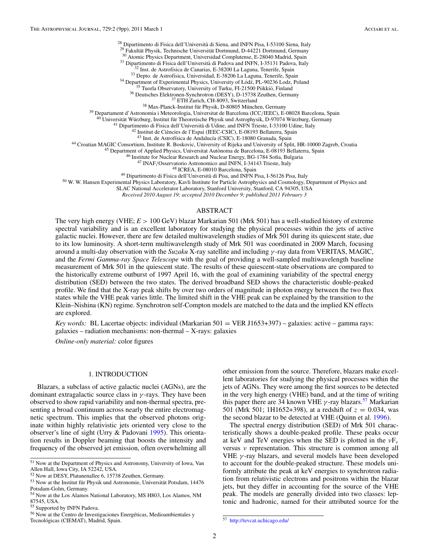<span id="page-2-0"></span><sup>28</sup> Dipartimento di Fisica dell'Università di Siena, and INFN Pisa, 1-53100 Siena, Italy <sup>29</sup> Pakulkit Physik, Technische Universität Dortmund, D-44221 Dortmund, Germany<br>
<sup>30</sup> Atomic Physics Department, Universidad Compl

SLAC National Accelerator Laboratory, Stanford University, Stanford, CA 94305, USA

*Received 2010 August 19; accepted 2010 December 9; published 2011 February 3*

## ABSTRACT

The very high energy (VHE; *E >* 100 GeV) blazar Markarian 501 (Mrk 501) has a well-studied history of extreme spectral variability and is an excellent laboratory for studying the physical processes within the jets of active galactic nuclei. However, there are few detailed multiwavelength studies of Mrk 501 during its quiescent state, due to its low luminosity. A short-term multiwavelength study of Mrk 501 was coordinated in 2009 March, focusing around a multi-day observation with the *Suzaku* X-ray satellite and including *γ* -ray data from VERITAS, MAGIC, and the *Fermi Gamma-ray Space Telescope* with the goal of providing a well-sampled multiwavelength baseline measurement of Mrk 501 in the quiescent state. The results of these quiescent-state observations are compared to the historically extreme outburst of 1997 April 16, with the goal of examining variability of the spectral energy distribution (SED) between the two states. The derived broadband SED shows the characteristic double-peaked profile. We find that the X-ray peak shifts by over two orders of magnitude in photon energy between the two flux states while the VHE peak varies little. The limited shift in the VHE peak can be explained by the transition to the Klein–Nishina (KN) regime. Synchrotron self-Compton models are matched to the data and the implied KN effects are explored.

*Key words:* BL Lacertae objects: individual (Markarian 501 = VER J1653+397) – galaxies: active – gamma rays: galaxies – radiation mechanisms: non-thermal – X-rays: galaxies

*Online-only material:* color figures

#### 1. INTRODUCTION

Blazars, a subclass of active galactic nuclei (AGNs), are the dominant extragalactic source class in *γ* -rays. They have been observed to show rapid variability and non-thermal spectra, presenting a broad continuum across nearly the entire electromagnetic spectrum. This implies that the observed photons originate within highly relativistic jets oriented very close to the observer's line of sight (Urry & Padovani [1995\)](#page-9-0). This orientation results in Doppler beaming that boosts the intensity and frequency of the observed jet emission, often overwhelming all

other emission from the source. Therefore, blazars make excellent laboratories for studying the physical processes within the jets of AGNs. They were among the first sources to be detected in the very high energy (VHE) band, and at the time of writing this paper there are 34 known VHE  $\gamma$ -ray blazars.<sup>57</sup> Markarian 501 (Mrk 501; 1H1652+398), at a redshift of  $z = 0.034$ , was the second blazar to be detected at VHE (Quinn et al. [1996\)](#page-9-0).

The spectral energy distribution (SED) of Mrk 501 characteristically shows a double-peaked profile. These peaks occur at keV and TeV energies when the SED is plotted in the *ν*F*<sup>ν</sup>* versus *ν* representation. This structure is common among all VHE *γ* -ray blazars, and several models have been developed to account for the double-peaked structure. These models uniformly attribute the peak at keV energies to synchrotron radiation from relativistic electrons and positrons within the blazar jets, but they differ in accounting for the source of the VHE peak. The models are generally divided into two classes: leptonic and hadronic, named for their attributed source for the

<sup>51</sup> Now at the Department of Physics and Astronomy, University of Iowa, Van Allen Hall, Iowa City, IA 52242, USA.

<sup>52</sup> Now at DESY, Platanenallee 6, 15738 Zeuthen, Germany.

 $53$  Now at the Institut für Physik und Astronomie, Universität Potsdam, 14476 Potsdam-Golm, Germany.

<sup>54</sup> Now at the Los Alamos National Laboratory, MS H803, Los Alamos, NM 87545, USA.

<sup>55</sup> Supported by INFN Padova.

<sup>56</sup> Now at the Centro de Investigaciones Energeticas, Medioambientales y ´ Tecnológicas (CIEMAT), Madrid, Spain.

<sup>57</sup> <http://tevcat.uchicago.edu/>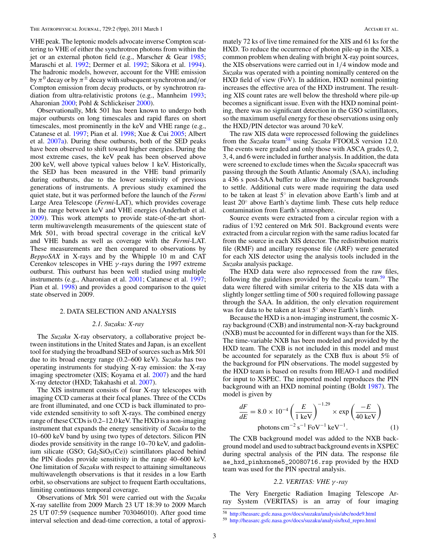VHE peak. The leptonic models advocate inverse Compton scattering to VHE of either the synchrotron photons from within the jet or an external photon field (e.g., Marscher & Gear [1985;](#page-9-0) Maraschi et al. [1992;](#page-9-0) Dermer et al. [1992;](#page-9-0) Sikora et al. [1994\)](#page-9-0). The hadronic models, however, account for the VHE emission by  $\pi^0$  decay or by  $\pi^{\pm}$  decay with subsequent synchrotron and/or Compton emission from decay products, or by synchrotron radiation from ultra-relativistic protons (e.g., Mannheim [1993;](#page-9-0) Aharonian [2000;](#page-9-0) Pohl & Schlickeiser [2000\)](#page-9-0).

Observationally, Mrk 501 has been known to undergo both major outbursts on long timescales and rapid flares on short timescales, most prominently in the keV and VHE range (e.g., Catanese et al. [1997;](#page-9-0) Pian et al. [1998;](#page-9-0) Xue & Cui [2005;](#page-9-0) Albert et al. [2007a\)](#page-9-0). During these outbursts, both of the SED peaks have been observed to shift toward higher energies. During the most extreme cases, the keV peak has been observed above 200 keV, well above typical values below 1 keV. Historically, the SED has been measured in the VHE band primarily during outbursts, due to the lower sensitivity of previous generations of instruments. A previous study examined the quiet state, but it was performed before the launch of the *Fermi* Large Area Telescope (*Fermi*-LAT), which provides coverage in the range between keV and VHE energies (Anderhub et al. [2009\)](#page-9-0). This work attempts to provide state-of-the-art shortterm multiwavelength measurements of the quiescent state of Mrk 501, with broad spectral coverage in the critical keV and VHE bands as well as coverage with the *Fermi*-LAT. These measurements are then compared to observations by *BeppoSAX* in X-rays and by the Whipple 10 m and CAT Cerenkov telescopes in VHE *γ* -rays during the 1997 extreme outburst. This outburst has been well studied using multiple instruments (e.g., Aharonian et al. [2001;](#page-9-0) Catanese et al. [1997;](#page-9-0) Pian et al. [1998\)](#page-9-0) and provides a good comparison to the quiet state observed in 2009.

## 2. DATA SELECTION AND ANALYSIS

#### *2.1. Suzaku: X-ray*

The *Suzaku* X-ray observatory, a collaborative project between institutions in the United States and Japan, is an excellent tool for studying the broadband SED of sources such as Mrk 501 due to its broad energy range (0.2–600 keV). *Suzaku* has two operating instruments for studying X-ray emission: the X-ray imaging spectrometer (XIS; Koyama et al. [2007\)](#page-9-0) and the hard X-ray detector (HXD; Takahashi et al. [2007\)](#page-9-0).

The XIS instrument consists of four X-ray telescopes with imaging CCD cameras at their focal planes. Three of the CCDs are front illuminated, and one CCD is back illuminated to provide extended sensitivity to soft X-rays. The combined energy range of these CCDs is 0.2–12.0 keV. The HXD is a non-imaging instrument that expands the energy sensitivity of *Suzaku* to the 10–600 keV band by using two types of detectors. Silicon PIN diodes provide sensitivity in the range 10–70 keV, and gadolinium silicate (GSO;  $Gd_2SiO_5(Ce)$ ) scintillators placed behind the PIN diodes provide sensitivity in the range 40–600 keV. One limitation of *Suzaku* with respect to attaining simultaneous multiwavelength observations is that it resides in a low Earth orbit, so observations are subject to frequent Earth occultations, limiting continuous temporal coverage.

Observations of Mrk 501 were carried out with the *Suzaku* X-ray satellite from 2009 March 23 UT 18:39 to 2009 March 25 UT 07:59 (sequence number 703046010). After good time interval selection and dead-time correction, a total of approxi-

mately 72 ks of live time remained for the XIS and 61 ks for the HXD. To reduce the occurrence of photon pile-up in the XIS, a common problem when dealing with bright X-ray point sources, the XIS observations were carried out in 1*/*4 window mode and *Suzaku* was operated with a pointing nominally centered on the HXD field of view (FoV). In addition, HXD nominal pointing increases the effective area of the HXD instrument. The resulting XIS count rates are well below the threshold where pile-up becomes a significant issue. Even with the HXD nominal pointing, there was no significant detection in the GSO scintillators, so the maximum useful energy for these observations using only the HXD*/*PIN detector was around 70 keV.

The raw XIS data were reprocessed following the guidelines from the *Suzaku* team<sup>58</sup> using *Suzaku* FTOOLS version 12.0. The events were graded and only those with ASCA grades 0, 2, 3, 4, and 6 were included in further analysis. In addition, the data were screened to exclude times when the *Suzaku* spacecraft was passing through the South Atlantic Anomaly (SAA), including a 436 s post-SAA buffer to allow the instrument backgrounds to settle. Additional cuts were made requiring the data used to be taken at least 5◦ in elevation above Earth's limb and at least 20◦ above Earth's daytime limb. These cuts help reduce contamination from Earth's atmosphere.

Source events were extracted from a circular region with a radius of 1*.* 92 centered on Mrk 501. Background events were extracted from a circular region with the same radius located far from the source in each XIS detector. The redistribution matrix file (RMF) and ancillary response file (ARF) were generated for each XIS detector using the analysis tools included in the *Suzaku* analysis package.

The HXD data were also reprocessed from the raw files, following the guidelines provided by the *Suzaku* team.59 The data were filtered with similar criteria to the XIS data with a slightly longer settling time of 500 s required following passage through the SAA. In addition, the only elevation requirement was for data to be taken at least 5◦ above Earth's limb.

Because the HXD is a non-imaging instrument, the cosmic Xray background (CXB) and instrumental non-X-ray background (NXB) must be accounted for in different ways than for the XIS. The time-variable NXB has been modeled and provided by the HXD team. The CXB is not included in this model and must be accounted for separately as the CXB flux is about 5% of the background for PIN observations. The model suggested by the HXD team is based on results from HEAO-1 and modified for input to XSPEC. The imported model reproduces the PIN background with an HXD nominal pointing (Boldt [1987\)](#page-9-0). The model is given by

$$
\frac{dF}{dE} = 8.0 \times 10^{-4} \left(\frac{E}{1 \text{ keV}}\right)^{-1.29} \times \exp\left(\frac{-E}{40 \text{ keV}}\right)
$$
\n
$$
\text{photons cm}^{-2} \text{ s}^{-1} \text{FoV}^{-1} \text{ keV}^{-1}. \tag{1}
$$

The CXB background model was added to the NXB background model and used to subtract background events in XSPEC during spectral analysis of the PIN data. The response file ae\_hxd\_pinhxnome5\_20080716.rsp provided by the HXD team was used for the PIN spectral analysis.

# *2.2. VERITAS: VHE γ -ray*

The Very Energetic Radiation Imaging Telescope Array System (VERITAS) is an array of four imaging

<sup>58</sup> <http://heasarc.gsfc.nasa.gov/docs/suzaku/analysis/abc/node9.html>

<sup>59</sup> [http://heasarc.gsfc.nasa.gov/docs/suzaku/analysis/hxd\\_repro.html](http://heasarc.gsfc.nasa.gov/docs/suzaku/analysis/hxd_repro.html)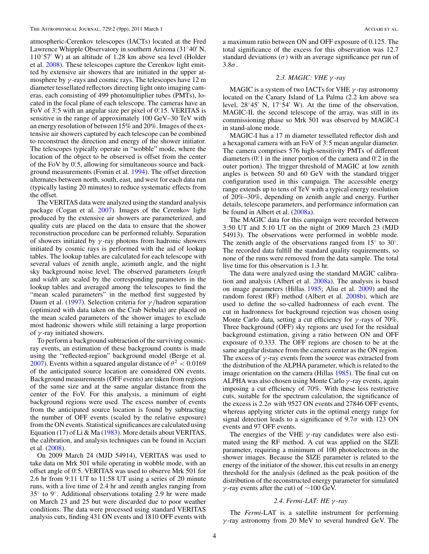atmospheric-Cerenkov telescopes (IACTs) located at the Fred Lawrence Whipple Observatory in southern Arizona (31°40′ N,  $110°57'$  W) at an altitude of 1.28 km above sea level (Holder et al. [2008\)](#page-9-0). These telescopes capture the Cerenkov light emitted by extensive air showers that are initiated in the upper atmosphere by *γ* -rays and cosmic rays. The telescopes have 12 m diameter tessellated reflectors directing light onto imaging cameras, each consisting of 499 photomultiplier tubes (PMTs), located in the focal plane of each telescope. The cameras have an FoV of 3°.5 with an angular size per pixel of 0°.15. VERITAS is sensitive in the range of approximately 100 GeV–30 TeV with an energy resolution of between 15% and 20%. Images of the extensive air showers captured by each telescope can be combined to reconstruct the direction and energy of the shower initiator. The telescopes typically operate in "wobble" mode, where the location of the object to be observed is offset from the center of the FoV by 0.5, allowing for simultaneous source and background measurements (Fomin et al. [1994\)](#page-9-0). The offset direction alternates between north, south, east, and west for each data run (typically lasting 20 minutes) to reduce systematic effects from the offset.

The VERITAS data were analyzed using the standard analysis package (Cogan et al. [2007\)](#page-9-0). Images of the Cerenkov light produced by the extensive air showers are parameterized, and quality cuts are placed on the data to ensure that the shower reconstruction procedure can be performed reliably. Separation of showers initiated by *γ* -ray photons from hadronic showers initiated by cosmic rays is performed with the aid of lookup tables. The lookup tables are calculated for each telescope with several values of zenith angle, azimuth angle, and the night sky background noise level. The observed parameters *length* and *width* are scaled by the corresponding parameters in the lookup tables and averaged among the telescopes to find the "mean scaled parameters" in the method first suggested by Daum et al. [\(1997\)](#page-9-0). Selection criteria for *γ /*hadron separation (optimized with data taken on the Crab Nebula) are placed on the mean scaled parameters of the shower images to exclude most hadronic showers while still retaining a large proportion of *γ* -ray initiated showers.

To perform a background subtraction of the surviving cosmicray events, an estimation of these background counts is made using the "reflected-region" background model (Berge et al. [2007\)](#page-9-0). Events within a squared angular distance of  $\theta^2 < 0.0169$ of the anticipated source location are considered ON events. Background measurements (OFF events) are taken from regions of the same size and at the same angular distance from the center of the FoV. For this analysis, a minimum of eight background regions were used. The excess number of events from the anticipated source location is found by subtracting the number of OFF events (scaled by the relative exposure) from the ON events. Statistical significances are calculated using Equation (17) of Li & Ma [\(1983\)](#page-9-0). More details about VERITAS, the calibration, and analysis techniques can be found in Acciari et al. [\(2008\)](#page-9-0).

On 2009 March 24 (MJD 54914), VERITAS was used to take data on Mrk 501 while operating in wobble mode, with an offset angle of 0°.5. VERITAS was used to observe Mrk 501 for 2.6 hr from 9:11 UT to 11:58 UT using a series of 20 minute runs, with a live time of 2.4 hr and zenith angles ranging from 35◦ to 9◦. Additional observations totaling 2.9 hr were made on March 23 and 25 but were discarded due to poor weather conditions. The data were processed using standard VERITAS analysis cuts, finding 431 ON events and 1810 OFF events with a maximum ratio between ON and OFF exposure of 0.125. The total significance of the excess for this observation was 12.7 standard deviations  $(\sigma)$  with an average significance per run of 3.8*σ*.

# *2.3. MAGIC: VHE γ -ray*

MAGIC is a system of two IACTs for VHE *γ* -ray astronomy located on the Canary Island of La Palma (2.2 km above sea level,  $28°45'$  N,  $17°54'$  W). At the time of the observation, MAGIC-II, the second telescope of the array, was still in its commissioning phase so Mrk 501 was observed by MAGIC-I in stand-alone mode.

MAGIC-I has a 17 m diameter tessellated reflector dish and a hexagonal camera with an FoV of 3°<sub>1</sub>5 mean angular diameter. The camera comprises 576 high-sensitivity PMTs of different diameters (0.<sup>o</sup> 1 in the inner portion of the camera and 0.<sup>o</sup> 2 in the outer portion). The trigger threshold of MAGIC at low zenith angles is between 50 and 60 GeV with the standard trigger configuration used in this campaign. The accessible energy range extends up to tens of TeV with a typical energy resolution of 20%–30%, depending on zenith angle and energy. Further details, telescope parameters, and performance information can be found in Albert et al. [\(2008a\)](#page-9-0).

The MAGIC data for this campaign were recorded between 3:50 UT and 5:10 UT on the night of 2009 March 23 (MJD 54913). The observations were performed in wobble mode. The zenith angle of the observations ranged from  $15°$  to  $30°$ . The recorded data fulfill the standard quality requirements, so none of the runs were removed from the data sample. The total live time for this observation is 1.3 hr.

The data were analyzed using the standard MAGIC calibration and analysis (Albert et al. [2008a\)](#page-9-0). The analysis is based on image parameters (Hillas [1985;](#page-9-0) Aliu et al. [2009\)](#page-9-0) and the random forest (RF) method (Albert et al. [2008b\)](#page-9-0), which are used to define the so-called hadronness of each event. The cut in hadronness for background rejection was chosen using Monte Carlo data, setting a cut efficiency for *γ* -rays of 70%. Three background (OFF) sky regions are used for the residual background estimation, giving a ratio between ON and OFF exposure of 0.333. The OFF regions are chosen to be at the same angular distance from the camera center as the ON region. The excess of  $\gamma$ -ray events from the source was extracted from the distribution of the ALPHA parameter, which is related to the image orientation on the camera (Hillas [1985\)](#page-9-0). The final cut on ALPHA was also chosen using Monte Carlo *γ* -ray events, again imposing a cut efficiency of 70%. With these less restrictive cuts, suitable for the spectrum calculation, the significance of the excess is  $2.2\sigma$  with 9527 ON events and 27846 OFF events, whereas applying stricter cuts in the optimal energy range for signal detection leads to a significance of 9.7*σ* with 123 ON events and 97 OFF events.

The energies of the VHE *γ* -ray candidates were also estimated using the RF method. A cut was applied on the SIZE parameter, requiring a minimum of 100 photoelectrons in the shower images. Because the SIZE parameter is related to the energy of the initiator of the shower, this cut results in an energy threshold for the analysis (defined as the peak position of the distribution of the reconstructed energy parameter for simulated *γ* -ray events after the cut) of ∼100 GeV.

## *2.4. Fermi-LAT: HE γ -ray*

The *Fermi*-LAT is a satellite instrument for performing *γ* -ray astronomy from 20 MeV to several hundred GeV. The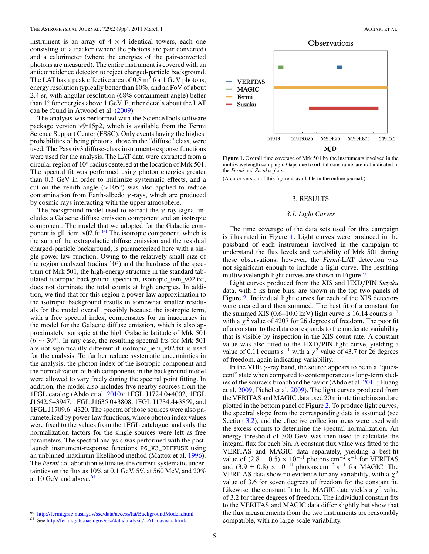<span id="page-5-0"></span>instrument is an array of  $4 \times 4$  identical towers, each one consisting of a tracker (where the photons are pair converted) and a calorimeter (where the energies of the pair-converted photons are measured). The entire instrument is covered with an anticoincidence detector to reject charged-particle background. The LAT has a peak effective area of  $0.8 \text{ m}^2$  for 1 GeV photons, energy resolution typically better than 10%, and an FoV of about 2*.*4 sr, with angular resolution (68% containment angle) better than 1◦ for energies above 1 GeV. Further details about the LAT can be found in Atwood et al. [\(2009\)](#page-9-0)

The analysis was performed with the ScienceTools software package version v9r15p2, which is available from the Fermi Science Support Center (FSSC). Only events having the highest probabilities of being photons, those in the "diffuse" class, were used. The Pass 6v3 diffuse-class instrument-response functions were used for the analysis. The LAT data were extracted from a circular region of 10◦ radius centered at the location of Mrk 501. The spectral fit was performed using photon energies greater than 0*.*3 GeV in order to minimize systematic effects, and a cut on the zenith angle  $(>105°)$  was also applied to reduce contamination from Earth-albedo *γ* -rays, which are produced by cosmic rays interacting with the upper atmosphere.

The background model used to extract the *γ* -ray signal includes a Galactic diffuse emission component and an isotropic component. The model that we adopted for the Galactic component is gll\_iem\_v02.fit. $60$  The isotropic component, which is the sum of the extragalactic diffuse emission and the residual charged-particle background, is parameterized here with a single power-law function. Owing to the relatively small size of the region analyzed (radius  $10°$ ) and the hardness of the spectrum of Mrk 501, the high-energy structure in the standard tabulated isotropic background spectrum, isotropic\_iem\_v02.txt, does not dominate the total counts at high energies. In addition, we find that for this region a power-law approximation to the isotropic background results in somewhat smaller residuals for the model overall, possibly because the isotropic term, with a free spectral index, compensates for an inaccuracy in the model for the Galactic diffuse emission, which is also approximately isotropic at the high Galactic latitude of Mrk 501  $(b \sim 39°)$ . In any case, the resulting spectral fits for Mrk 501 are not significantly different if isotropic\_iem\_v02.txt is used for the analysis. To further reduce systematic uncertainties in the analysis, the photon index of the isotropic component and the normalization of both components in the background model were allowed to vary freely during the spectral point fitting. In addition, the model also includes five nearby sources from the 1FGL catalog (Abdo et al. [2010\)](#page-9-0): 1FGL J1724.0+4002, 1FGL J1642.5+3947, 1FGL J1635.0+3808, 1FGL J1734.4+3859, and 1FGL J1709.6+4320. The spectra of those sources were also parameterized by power-law functions, whose photon index values were fixed to the values from the 1FGL catalogue, and only the normalization factors for the single sources were left as free parameters. The spectral analysis was performed with the postlaunch instrument-response functions P6\_V3\_DIFFUSE using an unbinned maximum likelihood method (Mattox et al. [1996\)](#page-9-0). The *Fermi* collaboration estimates the current systematic uncertainties on the flux as 10% at 0*.*1 GeV, 5% at 560 MeV, and 20% at 10 GeV and above.<sup>61</sup>



**Figure 1.** Overall time coverage of Mrk 501 by the instruments involved in the multiwavelength campaign. Gaps due to orbital constraints are not indicated in the *Fermi* and *Suzaku* plots.

(A color version of this figure is available in the online journal.)

#### 3. RESULTS

#### *3.1. Light Curves*

The time coverage of the data sets used for this campaign is illustrated in Figure 1. Light curves were produced in the passband of each instrument involved in the campaign to understand the flux levels and variability of Mrk 501 during these observations; however, the *Fermi*-LAT detection was not significant enough to include a light curve. The resulting multiwavelength light curves are shown in Figure [2.](#page-6-0)

Light curves produced from the XIS and HXD*/*PIN *Suzaku* data, with 5 ks time bins, are shown in the top two panels of Figure [2.](#page-6-0) Individual light curves for each of the XIS detectors were created and then summed. The best fit of a constant for the summed XIS (0.6–10.0 keV) light curve is 16.14 counts s<sup>-1</sup> with a  $\chi^2$  value of 4207 for 26 degrees of freedom. The poor fit of a constant to the data corresponds to the moderate variability that is visible by inspection in the XIS count rate. A constant value was also fitted to the HXD*/*PIN light curve, yielding a value of 0.11 counts s<sup>-1</sup> with a  $\chi^2$  value of 43.7 for 26 degrees of freedom, again indicating variability.

In the VHE *γ* -ray band, the source appears to be in a "quiescent" state when compared to contemporaneous long-term studies of the source's broadband behavior (Abdo et al. [2011;](#page-9-0) Huang et al. [2009;](#page-9-0) Pichel et al. [2009\)](#page-9-0). The light curves produced from the VERITAS and MAGIC data used 20 minute time bins and are plotted in the bottom panel of Figure [2.](#page-6-0) To produce light curves, the spectral slope from the corresponding data is assumed (see Section [3.2\)](#page-6-0), and the effective collection areas were used with the excess counts to determine the spectral normalization. An energy threshold of 300 GeV was then used to calculate the integral flux for each bin. A constant flux value was fitted to the VERITAS and MAGIC data separately, yielding a best-fit value of  $(2.8 \pm 0.5) \times 10^{-11}$  photons cm<sup>-2</sup> s<sup>-1</sup> for VERITAS and  $(3.9 \pm 0.8) \times 10^{-11}$  photons cm<sup>-2</sup> s<sup>-1</sup> for MAGIC. The VERITAS data show no evidence for any variability, with a  $\chi^2$ value of 3.6 for seven degrees of freedom for the constant fit. Likewise, the constant fit to the MAGIC data yields a  $\chi^2$  value of 3.2 for three degrees of freedom. The individual constant fits to the VERITAS and MAGIC data differ slightly but show that the flux measurements from the two instruments are reasonably compatible, with no large-scale variability.

<sup>60</sup> <http://fermi.gsfc.nasa.gov/ssc/data/access/lat/BackgroundModels.html>

<sup>61</sup> See [http://fermi.gsfc.nasa.gov/ssc/data/analysis/LAT\\_caveats.html.](http://fermi.gsfc.nasa.gov/ssc/data/analysis/LAT_caveats.html)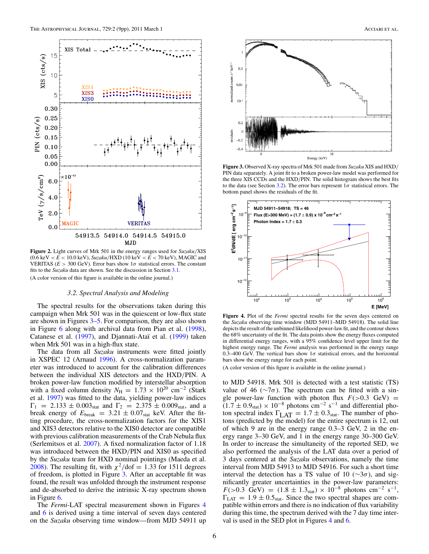<span id="page-6-0"></span>

**Figure 2.** Light curves of Mrk 501 in the energy ranges used for *Suzaku/*XIS  $(0.6 \text{ keV} < E < 10.0 \text{ keV})$ ,  $Suzaku/HXD$  (10 keV  $< E < 70$  keV), MAGIC and VERITAS ( $E > 300$  GeV). Error bars show  $1\sigma$  statistical errors. The constant fits to the *Suzaku* data are shown. See the discussion in Section [3.1.](#page-5-0) (A color version of this figure is available in the online journal.)

# *3.2. Spectral Analysis and Modeling*

The spectral results for the observations taken during this campaign when Mrk 501 was in the quiescent or low-flux state are shown in Figures 3[–5.](#page-7-0) For comparison, they are also shown in Figure [6](#page-7-0) along with archival data from Pian et al. [\(1998\)](#page-9-0), Catanese et al. [\(1997\)](#page-9-0), and Djannati-Ataï et al. [\(1999\)](#page-9-0) taken when Mrk 501 was in a high-flux state.

The data from all *Suzaku* instruments were fitted jointly in XSPEC 12 (Arnaud [1996\)](#page-9-0). A cross-normalization parameter was introduced to account for the calibration differences between the individual XIS detectors and the HXD*/*PIN. A broken power-law function modified by interstellar absorption with a fixed column density  $N_{\text{H}} = 1.73 \times 10^{20} \text{ cm}^{-2}$  (Stark et al. [1997\)](#page-9-0) was fitted to the data, yielding power-law indices  $\Gamma_1 = 2.133 \pm 0.003_{stat}$  and  $\Gamma_2 = 2.375 \pm 0.009_{stat}$ , and a break energy of  $E_{\text{break}} = 3.21 \pm 0.07_{\text{stat}}$  keV. After the fitting procedure, the cross-normalization factors for the XIS1 and XIS3 detectors relative to the XIS0 detector are compatible with previous calibration measurements of the Crab Nebula flux (Serlemitsos et al. [2007\)](#page-9-0). A fixed normalization factor of 1.18 was introduced between the HXD*/*PIN and XIS0 as specified by the *Suzaku* team for HXD nominal pointings (Maeda et al. [2008\)](#page-9-0). The resulting fit, with  $\chi^2$ /dof = 1.33 for 1511 degrees of freedom, is plotted in Figure 3. After an acceptable fit was found, the result was unfolded through the instrument response and de-absorbed to derive the intrinsic X-ray spectrum shown in Figure [6.](#page-7-0)

The *Fermi*-LAT spectral measurement shown in Figures 4 and [6](#page-7-0) is derived using a time interval of seven days centered on the *Suzaku* observing time window—from MJD 54911 up



**Figure 3.** Observed X-ray spectra of Mrk 501 made from *Suzaku* XIS and HXD*/* PIN data separately. A joint fit to a broken power-law model was performed for the three XIS CCDs and the HXD*/*PIN. The solid histogram shows the best fits to the data (see Section 3.2). The error bars represent  $1\sigma$  statistical errors. The bottom panel shows the residuals of the fit.



**Figure 4.** Plot of the *Fermi* spectral results for the seven days centered on the *Suzaku* observing time window (MJD 54911–MJD 54918). The solid line depicts the result of the unbinned likelihood power-law fit, and the contour shows the 68% uncertainty of the fit. The data points show the energy fluxes computed in differential energy ranges, with a 95% confidence level upper limit for the highest energy range. The *Fermi* analysis was performed in the energy range 0.3–400 GeV. The vertical bars show  $1\sigma$  statistical errors, and the horizontal bars show the energy range for each point.

(A color version of this figure is available in the online journal.)

to MJD 54918. Mrk 501 is detected with a test statistic (TS) value of 46 ( $\sim$ 7 $\sigma$ ). The spectrum can be fitted with a single power-law function with photon flux  $F(>0.3$  GeV) =  $(1.7 \pm 0.9<sub>stat</sub>) \times 10<sup>-8</sup>$  photons cm<sup>-2</sup> s<sup>-1</sup> and differential photon spectral index  $\Gamma_{\text{LAT}} = 1.7 \pm 0.3_{\text{stat}}$ . The number of photons (predicted by the model) for the entire spectrum is 12, out of which 9 are in the energy range 0.3–3 GeV, 2 in the energy range 3–30 GeV, and 1 in the energy range 30–300 GeV. In order to increase the simultaneity of the reported SED, we also performed the analysis of the LAT data over a period of 3 days centered at the *Suzaku* observations, namely the time interval from MJD 54913 to MJD 54916. For such a short time interval the detection has a TS value of 10 ( $\sim$ 3 $\sigma$ ), and significantly greater uncertainties in the power-law parameters:  $F(>0.3 \text{ GeV}) = (1.8 \pm 1.3 \text{ s}) \times 10^{-8} \text{ photons cm}^{-2} \text{ s}^{-1},$  $\Gamma_{\text{LAT}} = 1.9 \pm 0.5_{\text{stat}}$ . Since the two spectral shapes are compatible within errors and there is no indication of flux variability during this time, the spectrum derived with the 7 day time interval is used in the SED plot in Figures 4 and [6.](#page-7-0)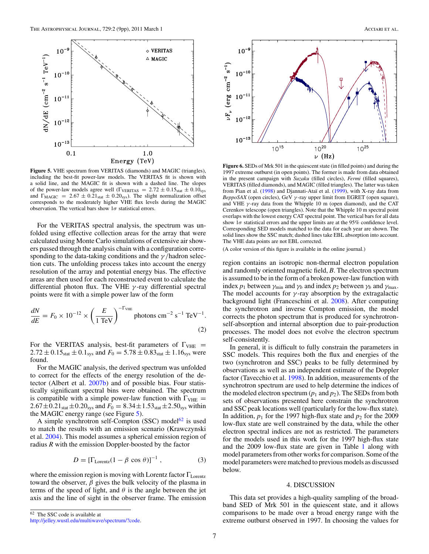<span id="page-7-0"></span>

**Figure 5.** VHE spectrum from VERITAS (diamonds) and MAGIC (triangles), including the best-fit power-law models. The VERITAS fit is shown with a solid line, and the MAGIC fit is shown with a dashed line. The slopes of the power-law models agree well ( $\Gamma_{\text{VERITAS}} = 2.72 \pm 0.15_{\text{stat}} \pm 0.10_{\text{sys}}$ and  $\Gamma_{\text{MAGIC}} = 2.67 \pm 0.21_{\text{stat}} \pm 0.20_{\text{sys}}$ ). The slight normalization offset corresponds to the moderately higher VHE flux levels during the MAGIC observation. The vertical bars show 1*σ* statistical errors.

For the VERITAS spectral analysis, the spectrum was unfolded using effective collection areas for the array that were calculated using Monte Carlo simulations of extensive air showers passed through the analysis chain with a configuration corresponding to the data-taking conditions and the *γ /*hadron selection cuts. The unfolding process takes into account the energy resolution of the array and potential energy bias. The effective areas are then used for each reconstructed event to calculate the differential photon flux. The VHE *γ* -ray differential spectral points were fit with a simple power law of the form

$$
\frac{dN}{dE} = F_0 \times 10^{-12} \times \left(\frac{E}{1 \text{ TeV}}\right)^{-\text{T}_{\text{VHE}}} \text{photons cm}^{-2} \text{ s}^{-1} \text{ TeV}^{-1}.
$$
\n(2)

For the VERITAS analysis, best-fit parameters of  $\Gamma_{\text{VHE}} =$  $2.72 \pm 0.15$ <sub>stat</sub>  $\pm 0.1$ <sub>sys</sub> and  $F_0 = 5.78 \pm 0.83$ <sub>stat</sub>  $\pm 1.16$ <sub>sys</sub> were found.

For the MAGIC analysis, the derived spectrum was unfolded to correct for the effects of the energy resolution of the detector (Albert et al. [2007b\)](#page-9-0) and of possible bias. Four statistically significant spectral bins were obtained. The spectrum is compatible with a simple power-law function with  $\Gamma_{\text{VHE}} =$  $2.67 \pm 0.21$ <sub>stat</sub>  $\pm 0.20$ <sub>sys</sub> and  $F_0 = 8.34 \pm 1.53$ <sub>stat</sub>  $\pm 2.50$ <sub>sys</sub> within the MAGIC energy range (see Figure 5).

A simple synchrotron self-Compton (SSC) model $62$  is used to match the results with an emission scenario (Krawczynski et al. [2004\)](#page-9-0). This model assumes a spherical emission region of radius *R* with the emission Doppler-boosted by the factor

$$
D = [\Gamma_{\text{Lorentz}}(1 - \beta \cos \theta)]^{-1}, \qquad (3)
$$

where the emission region is moving with Lorentz factor  $\Gamma_{\text{Lorentz}}$ toward the observer,  $\beta$  gives the bulk velocity of the plasma in terms of the speed of light, and  $\theta$  is the angle between the jet axis and the line of sight in the observer frame. The emission





**Figure 6.** SEDs of Mrk 501 in the quiescent state (in filled points) and during the 1997 extreme outburst (in open points). The former is made from data obtained in the present campaign with *Suzaku* (filled circles), *Fermi* (filled squares), VERITAS (filled diamonds), and MAGIC (filled triangles). The latter was taken from Pian et al. [\(1998\)](#page-9-0) and Djannati-Ataï et al. [\(1999\)](#page-9-0), with X-ray data from *BeppoSAX* (open circles), GeV *γ* -ray upper limit from EGRET (open square), and VHE *γ* -ray data from the Whipple 10 m (open diamond), and the CAT Cerenkov telescope (open triangles). Note that the Whipple 10 m spectral point overlaps with the lowest energy CAT spectral point. The vertical bars for all data show 1*σ* statistical errors and the upper limits are at the 95% confidence level. Corresponding SED models matched to the data for each year are shown. The solid lines show the SSC match; dashed lines take EBL absorption into account. The VHE data points are not EBL corrected.

(A color version of this figure is available in the online journal.)

region contains an isotropic non-thermal electron population and randomly oriented magnetic field, *B*. The electron spectrum is assumed to be in the form of a broken power-law function with index  $p_1$  between  $\gamma_{\text{min}}$  and  $\gamma_b$  and index  $p_2$  between  $\gamma_b$  and  $\gamma_{\text{max}}$ . The model accounts for  $\gamma$ -ray absorption by the extragalactic background light (Franceschini et al. [2008\)](#page-9-0). After computing the synchrotron and inverse Compton emission, the model corrects the photon spectrum that is produced for synchrotronself-absorption and internal absorption due to pair-production processes. The model does not evolve the electron spectrum self-consistently.

In general, it is difficult to fully constrain the parameters in SSC models. This requires both the flux and energies of the two (synchrotron and SSC) peaks to be fully determined by observations as well as an independent estimate of the Doppler factor (Tavecchio et al. [1998\)](#page-9-0). In addition, measurements of the synchrotron spectrum are used to help determine the indices of the modeled electron spectrum  $(p_1 \text{ and } p_2)$ . The SEDs from both sets of observations presented here constrain the synchrotron and SSC peak locations well (particularly for the low-flux state). In addition,  $p_1$  for the 1997 high-flux state and  $p_2$  for the 2009 low-flux state are well constrained by the data, while the other electron spectral indices are not as restricted. The parameters for the models used in this work for the 1997 high-flux state and the 2009 low-flux state are given in Table [1](#page-8-0) along with model parameters from other works for comparison. Some of the model parameters were matched to previous models as discussed below.

#### 4. DISCUSSION

This data set provides a high-quality sampling of the broadband SED of Mrk 501 in the quiescent state, and it allows comparisons to be made over a broad energy range with the extreme outburst observed in 1997. In choosing the values for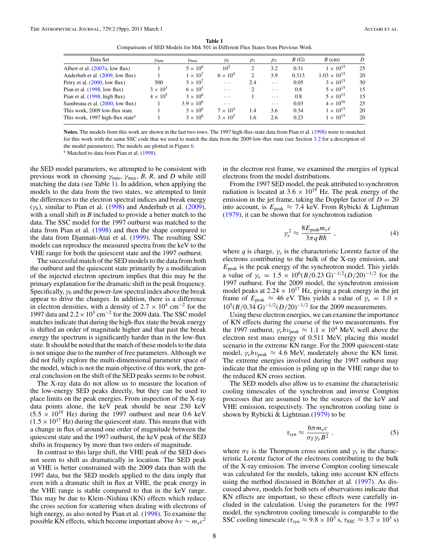**Table 1** Comparisons of SED Models for Mrk 501 in Different Flux States from Previous Work

<span id="page-8-0"></span>

| Data Set                                     | $\gamma_{\min}$ | $\gamma_{\text{max}}$ | $\gamma_b$      | $p_1$         | $p_2$    | B(G)  | $R$ (cm)              | D  |
|----------------------------------------------|-----------------|-----------------------|-----------------|---------------|----------|-------|-----------------------|----|
| Albert et al. (2007a, low flux)              |                 | $5 \times 10^6$       | $10^{5}$        | 2             | 3.2      | 0.31  | $1 \times 10^{15}$    | 25 |
| Anderhub et al. (2009, low flux)             |                 | $1 \times 10^{7}$     | $6 \times 10^4$ | 2             | 3.9      | 0.313 | $1.03 \times 10^{15}$ | 20 |
| Petry et al. $(2000, 1$ ow flux)             | 500             | $3 \times 10^7$       | $\ldots$        | 2.4           | $\cdots$ | 0.05  | $3 \times 10^{15}$    | 30 |
| Pian et al. $(1998, low flux)$               | $3 \times 10^3$ | $6 \times 10^5$       | $\cdots$        | $\mathcal{D}$ | $\cdots$ | 0.8   | $5 \times 10^{15}$    | 15 |
| Pian et al. $(1998, high flux)$              | $4 \times 10^5$ | $3 \times 10^6$       | $\cdots$        |               | $\cdots$ | 0.8   | $5 \times 10^{15}$    | 15 |
| Sambruna et al. (2000, low flux)             |                 | $3.9 \times 10^{6}$   | $\cdots$        |               | $\cdots$ | 0.03  | $4 \times 10^{16}$    | 25 |
| This work, 2009 low-flux state               |                 | $3 \times 10^6$       | $7 \times 10^4$ | 1.4           | 3.6      | 0.34  | $1 \times 10^{15}$    | 20 |
| This work, 1997 high-flux state <sup>a</sup> |                 | $3 \times 10^{6}$     | $3 \times 10^5$ | 1.6           | 2.6      | 0.23  | $1 \times 10^{15}$    | 20 |
|                                              |                 |                       |                 |               |          |       |                       |    |

**Notes.** The models from this work are shown in the last two rows. The 1997 high-flux-state data from Pian et al. [\(1998\)](#page-9-0) were re-matched for this work with the same SSC code that we used to match the data from the 2009 low-flux state (see Section [3.2](#page-6-0) for a description of the model parameters). The models are plotted in Figure [6.](#page-7-0)

<sup>a</sup> Matched to data from Pian et al. [\(1998\)](#page-9-0).

the SED model parameters, we attempted to be consistent with previous work in choosing  $\gamma_{\text{min}}$ ,  $\gamma_{\text{max}}$ , *B*, *R*, and *D* while still matching the data (see Table 1). In addition, when applying the models to the data from the two states, we attempted to limit the differences to the electron spectral indices and break energy  $(\gamma_b)$ , similar to Pian et al. [\(1998\)](#page-9-0) and Anderhub et al. [\(2009\)](#page-9-0), with a small shift in *B* included to provide a better match to the data. The SSC model for the 1997 outburst was matched to the data from Pian et al. [\(1998\)](#page-9-0) and then the shape compared to the data from Djannati-Ataï et al. [\(1999\)](#page-9-0). The resulting SSC models can reproduce the measured spectra from the keV to the VHE range for both the quiescent state and the 1997 outburst.

The successful match of the SED models to the data from both the outburst and the quiescent state primarily by a modification of the injected electron spectrum implies that this may be the primary explanation for the dramatic shift in the peak frequency. Specifically,  $\gamma_b$  and the power-law spectral index above the break appear to drive the changes. In addition, there is a difference in electron densities, with a density of  $2.7 \times 10^4$  cm<sup>-2</sup> for the 1997 data and 2*.*2×103 cm−<sup>2</sup> for the 2009 data. The SSC model matches indicate that during the high-flux state the break energy is shifted an order of magnitude higher and that past the break energy the spectrum is significantly harder than in the low-flux state. It should be noted that the match of these models to the data is not unique due to the number of free parameters. Although we did not fully explore the multi-dimensional parameter space of the model, which is not the main objective of this work, the general conclusion on the shift of the SED peaks seems to be robust.

The X-ray data do not allow us to measure the location of the low-energy SED peaks directly, but they can be used to place limits on the peak energies. From inspection of the X-ray data points alone, the keV peak should be near 230 keV  $(5.5 \times 10^{19} \text{ Hz})$  during the 1997 outburst and near 0.6 keV  $(1.5 \times 10^{17} \text{ Hz})$  during the quiescent state. This means that with a change in flux of around one order of magnitude between the quiescent state and the 1997 outburst, the keV peak of the SED shifts in frequency by more than two orders of magnitude.

In contrast to this large shift, the VHE peak of the SED does not seem to shift as dramatically in location. The SED peak at VHE is better constrained with the 2009 data than with the 1997 data, but the SED models applied to the data imply that even with a dramatic shift in flux at VHE, the peak energy in the VHE range is stable compared to that in the keV range. This may be due to Klein–Nishina (KN) effects which reduce the cross section for scattering when dealing with electrons of high energy, as also noted by Pian et al. [\(1998\)](#page-9-0). To examine the possible KN effects, which become important above  $hv \sim m_ec^2$ 

in the electron rest frame, we examined the energies of typical electrons from the model distributions.

From the 1997 SED model, the peak attributed to synchrotron radiation is located at  $3.6 \times 10^{19}$  Hz. The peak energy of the emission in the jet frame, taking the Doppler factor of  $D = 20$ into account, is  $E_{\text{peak}} \approx 7.4$  keV. From Rybicki & Lightman [\(1979\)](#page-9-0), it can be shown that for synchrotron radiation

$$
\gamma_e^2 \approx \frac{8E_{\text{peak}}m_ec}{3\pi qB\hbar} \,, \tag{4}
$$

where *q* is charge,  $\gamma_e$  is the characteristic Lorentz factor of the electrons contributing to the bulk of the X-ray emission, and *E*peak is the peak energy of the synchrotron model. This yields a value of  $\gamma_e = 1.5 \times 10^6 (B/0.23 \text{ G})^{-1/2} (D/20)^{-1/2}$  for the 1997 outburst. For the 2009 model, the synchrotron emission model peaks at  $2.24 \times 10^{17}$  Hz, giving a peak energy in the jet frame of  $E_{\text{peak}} \approx 46 \text{ eV}$ . This yields a value of  $\gamma_e = 1.0 \times$ 105(*B/*0*.*34 G)−1*/*2(*D/*20)−1*/*<sup>2</sup> for the 2009 measurements.

Using these electron energies, we can examine the importance of KN effects during the course of the two measurements. For the 1997 outburst,  $\gamma_e h v_{\text{peak}} \approx 1.1 \times 10^4$  MeV, well above the electron rest mass energy of 0.511 MeV, placing this model scenario in the extreme KN range. For the 2009 quiescent-state model,  $\gamma_e h v_{\text{peak}} \approx 4.6 \text{ MeV}$ , moderately above the KN limit. The extreme energies involved during the 1997 outburst may indicate that the emission is piling up in the VHE range due to the reduced KN cross section.

The SED models also allow us to examine the characteristic cooling timescales of the synchrotron and inverse Compton processes that are assumed to be the sources of the keV and VHE emission, respectively. The synchrotron cooling time is shown by Rybicki & Lightman [\(1979\)](#page-9-0) to be

$$
\tau_{syn} \approx \frac{6\pi m_e c}{\sigma_T \gamma_e B^2} \,, \tag{5}
$$

where  $\sigma_T$  is the Thompson cross section and  $\gamma_e$  is the characteristic Lorentz factor of the electrons contributing to the bulk of the X-ray emission. The inverse Compton cooling timescale was calculated for the models, taking into account KN effects using the method discussed in Böttcher et al. ([1997\)](#page-9-0). As discussed above, models for both sets of observations indicate that KN effects are important, so these effects were carefully included in the calculation. Using the parameters for the 1997 model, the synchrotron cooling timescale is comparable to the SSC cooling timescale ( $\tau_{syn} \approx 9.8 \times 10^3$  s,  $\tau_{SSC} \approx 3.7 \times 10^3$  s)